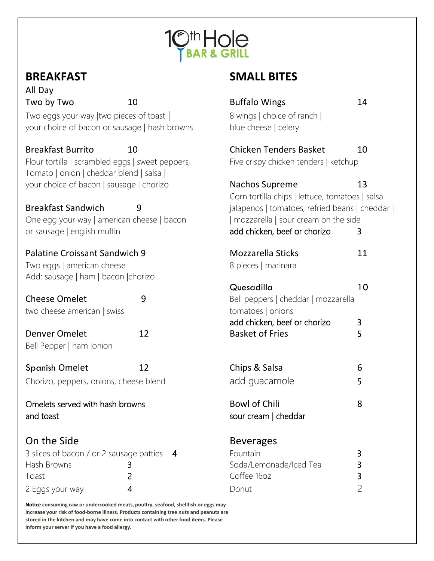

All Day Two by Two 10 Two eggs your way | two pieces of toast  $|$ your choice of bacon or sausage | hash browns

### On the Side

| 3 slices of bacon / or 2 sausage patties 4 |  | <b>Fountain</b>        |  |  |
|--------------------------------------------|--|------------------------|--|--|
| Hash Browns                                |  | Soda/Lemonade/Iced Tea |  |  |
| Toast                                      |  | Coffee 16oz            |  |  |
| 2 Eggs your way                            |  | Donut                  |  |  |

**Notice consuming raw or undercooked meats, poultry, seafood, shellfish or eggs may increase your risk of food-borne illness. Products containing tree nuts and peanuts are stored in the kitchen and may have come into contact with other food items. Please inform your server if you have a food allergy.**

# **BREAKFAST****SMALL BITES**

| Two by Two                                                                                 | 10                                               | <b>Buffalo Wings</b>                            | 14 |
|--------------------------------------------------------------------------------------------|--------------------------------------------------|-------------------------------------------------|----|
| Two eggs your way   two pieces of toast  <br>your choice of bacon or sausage   hash browns |                                                  | 8 wings   choice of ranch                       |    |
|                                                                                            |                                                  | blue cheese   celery                            |    |
| <b>Breakfast Burrito</b>                                                                   | 10                                               | <b>Chicken Tenders Basket</b>                   | 10 |
| Tomato   onion   cheddar blend   salsa                                                     | Flour tortilla   scrambled eggs   sweet peppers, | Five crispy chicken tenders   ketchup           |    |
| your choice of bacon   sausage   chorizo                                                   |                                                  | Nachos Supreme                                  | 13 |
|                                                                                            |                                                  | Corn tortilla chips   lettuce, tomatoes   salsa |    |
| <b>Breakfast Sandwich</b>                                                                  | 9                                                | jalapenos   tomatoes, refried beans   cheddar   |    |
| One egg your way   american cheese   bacon                                                 |                                                  | mozzarella   sour cream on the side             |    |
| or sausage   english muffin                                                                |                                                  | add chicken, beef or chorizo                    | 3  |
| <b>Palatine Croissant Sandwich 9</b>                                                       |                                                  | <b>Mozzarella Sticks</b>                        | 11 |
| Two eggs   american cheese                                                                 |                                                  | 8 pieces   marinara                             |    |
| Add: sausage   ham   bacon   chorizo                                                       |                                                  |                                                 |    |
|                                                                                            |                                                  | Quesadilla                                      | 10 |
| <b>Cheese Omelet</b>                                                                       | 9                                                | Bell peppers   cheddar   mozzarella             |    |
| two cheese american   swiss                                                                |                                                  | tomatoes   onions                               |    |
|                                                                                            |                                                  | add chicken, beef or chorizo                    | 3  |
| <b>Denver Omelet</b>                                                                       | 12                                               | <b>Basket of Fries</b>                          | 5  |
| Bell Pepper   ham   onion                                                                  |                                                  |                                                 |    |
| <b>Spanish Omelet</b>                                                                      | 12                                               | Chips & Salsa                                   | 6  |
| Chorizo, peppers, onions, cheese blend                                                     |                                                  | add guacamole                                   | 5  |
|                                                                                            |                                                  |                                                 |    |
| Omelets served with hash browns                                                            |                                                  | <b>Bowl of Chili</b>                            | 8  |
| and toast                                                                                  |                                                  | sour cream   cheddar                            |    |
| On the Side                                                                                |                                                  | <b>Beverages</b>                                |    |
| 3 slices of bacon / or 2 sausage patties                                                   | 4                                                | Fountain                                        | 3  |
| Hash Browns                                                                                | 3                                                | Soda/Lemonade/Iced Tea                          | 3  |
| Toast                                                                                      | 2                                                | Coffee 16oz                                     | 3  |
| 2 Eggs your way                                                                            | 4                                                | Donut                                           | 2  |